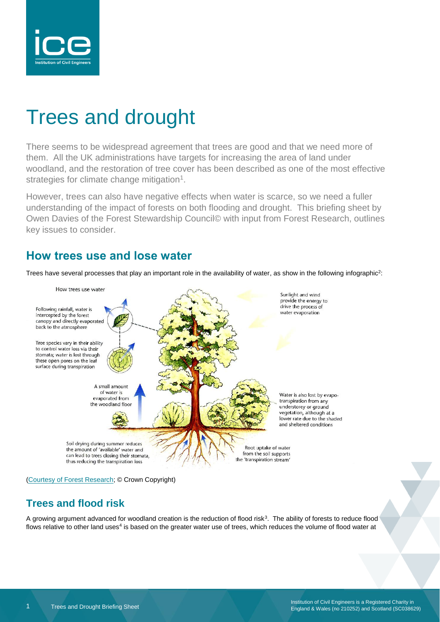

# Trees and drought

There seems to be widespread agreement that trees are good and that we need more of them. All the UK administrations have targets for increasing the area of land under woodland, and the restoration of tree cover has been described as one of the most effective strategies for climate change mitigation<sup>1</sup>.

However, trees can also have negative effects when water is scarce, so we need a fuller understanding of the impact of forests on both flooding and drought. This briefing sheet by Owen Davies of the Forest Stewardship Council© with input from Forest Research, outlines key issues to consider.

### **How trees use and lose water**

Trees have several processes that play an important role in the availability of water, as show in the following infographic<sup>2</sup>:



[<sup>\(</sup>Courtesy of Forest Research;](https://www.forestresearch.gov.uk/research/forest-hydrology/forest-hydrology-how-much-water-do-forests-use/) © Crown Copyright)

### **Trees and flood risk**

A growing argument advanced for woodland creation is the reduction of flood risk<sup>3</sup>. The ability of forests to reduce flood flows relative to other land uses<sup>4</sup> is based on the greater water use of trees, which reduces the volume of flood water at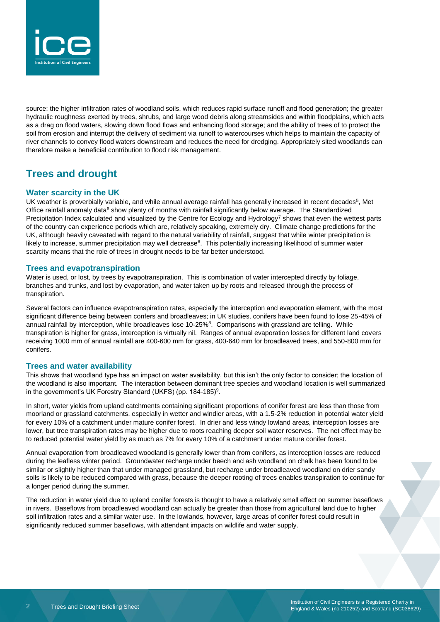

source; the higher infiltration rates of woodland soils, which reduces rapid surface runoff and flood generation; the greater hydraulic roughness exerted by trees, shrubs, and large wood debris along streamsides and within floodplains, which acts as a drag on flood waters, slowing down flood flows and enhancing flood storage; and the ability of trees of to protect the soil from erosion and interrupt the delivery of sediment via runoff to watercourses which helps to maintain the capacity of river channels to convey flood waters downstream and reduces the need for dredging. Appropriately sited woodlands can therefore make a beneficial contribution to flood risk management.

### **Trees and drought**

#### **Water scarcity in the UK**

UK weather is proverbially variable, and while annual average rainfall has generally increased in recent decades<sup>5</sup>, Met Office rainfall anomaly data<sup>6</sup> show plenty of months with rainfall significantly below average. The Standardized Precipitation Index calculated and visualized by the Centre for Ecology and Hydrology<sup>7</sup> shows that even the wettest parts of the country can experience periods which are, relatively speaking, extremely dry. Climate change predictions for the UK, although heavily caveated with regard to the natural variability of rainfall, suggest that while winter precipitation is likely to increase, summer precipitation may well decrease<sup>8</sup>. This potentially increasing likelihood of summer water scarcity means that the role of trees in drought needs to be far better understood.

#### **Trees and evapotranspiration**

Water is used, or lost, by trees by evapotranspiration. This is combination of water intercepted directly by foliage, branches and trunks, and lost by evaporation, and water taken up by roots and released through the process of transpiration.

Several factors can influence evapotranspiration rates, especially the interception and evaporation element, with the most significant difference being between confers and broadleaves; in UK studies, conifers have been found to lose 25-45% of annual rainfall by interception, while broadleaves lose 10-25%<sup>8</sup>. Comparisons with grassland are telling. While transpiration is higher for grass, interception is virtually nil. Ranges of annual evaporation losses for different land covers receiving 1000 mm of annual rainfall are 400-600 mm for grass, 400-640 mm for broadleaved trees, and 550-800 mm for conifers.

#### **Trees and water availability**

This shows that woodland type has an impact on water availability, but this isn't the only factor to consider; the location of the woodland is also important. The interaction between dominant tree species and woodland location is well summarized in the government's UK Forestry Standard (UKFS) (pp. 184-185)<sup>9</sup>.

In short, water yields from upland catchments containing significant proportions of conifer forest are less than those from moorland or grassland catchments, especially in wetter and windier areas, with a 1.5-2% reduction in potential water yield for every 10% of a catchment under mature conifer forest. In drier and less windy lowland areas, interception losses are lower, but tree transpiration rates may be higher due to roots reaching deeper soil water reserves. The net effect may be to reduced potential water yield by as much as 7% for every 10% of a catchment under mature conifer forest.

Annual evaporation from broadleaved woodland is generally lower than from conifers, as interception losses are reduced during the leafless winter period. Groundwater recharge under beech and ash woodland on chalk has been found to be similar or slightly higher than that under managed grassland, but recharge under broadleaved woodland on drier sandy soils is likely to be reduced compared with grass, because the deeper rooting of trees enables transpiration to continue for a longer period during the summer.

The reduction in water yield due to upland conifer forests is thought to have a relatively small effect on summer baseflows in rivers. Baseflows from broadleaved woodland can actually be greater than those from agricultural land due to higher soil infiltration rates and a similar water use. In the lowlands, however, large areas of conifer forest could result in significantly reduced summer baseflows, with attendant impacts on wildlife and water supply.